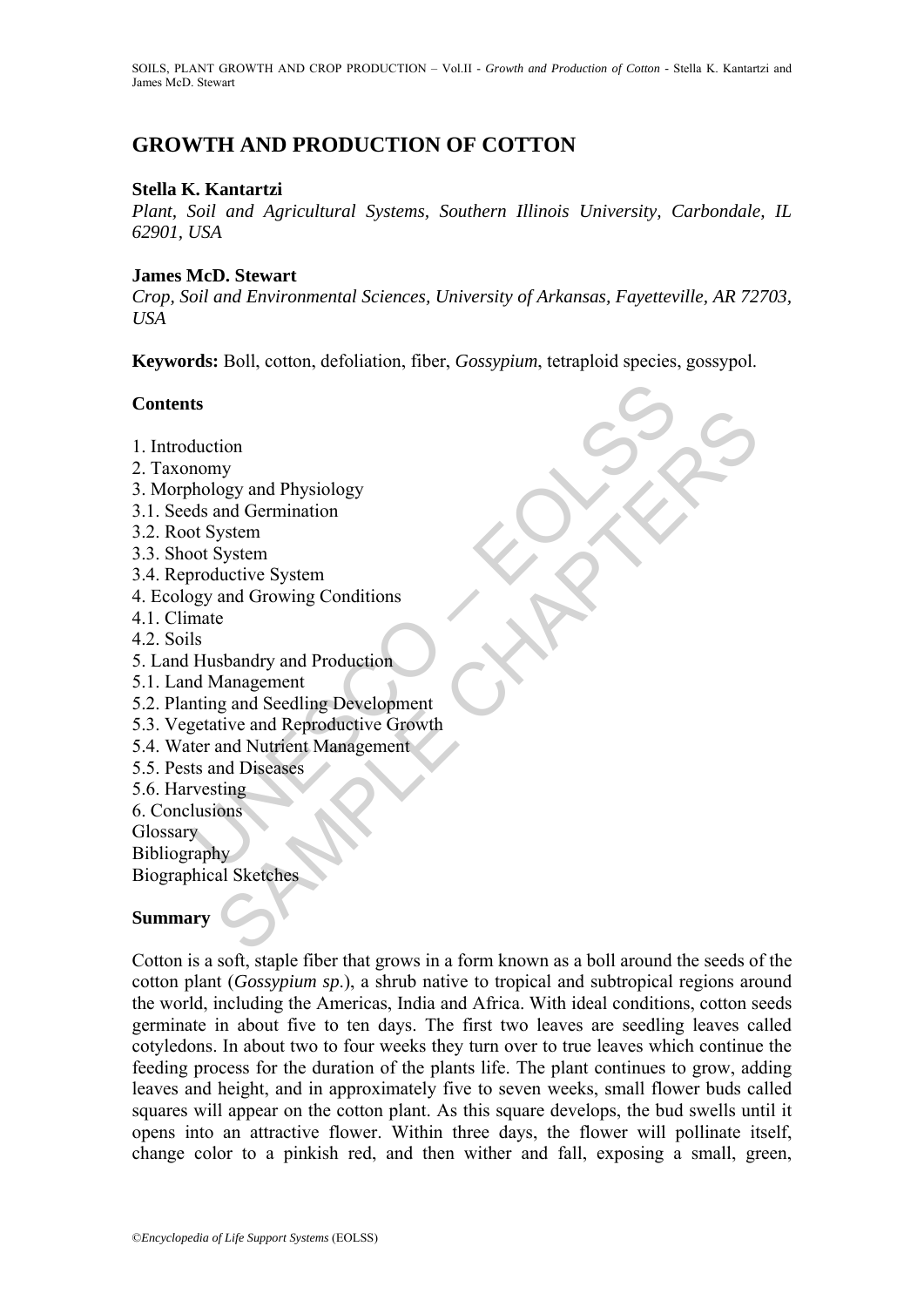# **GROWTH AND PRODUCTION OF COTTON**

## **Stella K. Kantartzi**

*Plant, Soil and Agricultural Systems, Southern Illinois University, Carbondale, IL 62901, USA*

## **James McD. Stewart**

*Crop, Soil and Environmental Sciences, University of Arkansas, Fayetteville, AR 72703, USA*

**Keywords:** Boll, cotton, defoliation, fiber, *Gossypium*, tetraploid species, gossypol.

## **Contents**

- 1. Introduction
- 2. Taxonomy
- 3. Morphology and Physiology
- 3.1. Seeds and Germination
- 3.2. Root System
- 3.3. Shoot System
- 3.4. Reproductive System
- 4. Ecology and Growing Conditions
- 4.1. Climate
- 4.2. Soils
- 5. Land Husbandry and Production
- 5.1. Land Management
- 5.2. Planting and Seedling Development
- ts<br>
duction<br>
nomy<br>
hology and Physiology<br>
sds and Germination<br>
ord System<br>
productive System<br>
productive System<br>
and Growing Conditions<br>
Husbandry and Production<br>
d Management<br>
thing and Seedling Development<br>
ter and Nutri tion<br>tion<br>to logy and Physiology<br>and Germination<br>System<br>System<br>and Growing Conditions<br>and Growing Conditions<br>changement<br>of and Reproductive Growth<br>and Nutrican Management<br>and Nutrican Management<br>and Discases<br>ting<br>tions<br>by<br> 5.3. Vegetative and Reproductive Growth
- 5.4. Water and Nutrient Management
- 5.5. Pests and Diseases
- 5.6. Harvesting
- 6. Conclusions

**Glossary** 

Bibliography

Biographical Sketches

## **Summary**

Cotton is a soft, staple fiber that grows in a form known as a boll around the seeds of the cotton plant (*Gossypium sp*.), a shrub native to tropical and subtropical regions around the world, including the Americas, India and Africa. With ideal conditions, cotton seeds germinate in about five to ten days. The first two leaves are seedling leaves called cotyledons. In about two to four weeks they turn over to true leaves which continue the feeding process for the duration of the plants life. The plant continues to grow, adding leaves and height, and in approximately five to seven weeks, small flower buds called squares will appear on the cotton plant. As this square develops, the bud swells until it opens into an attractive flower. Within three days, the flower will pollinate itself, change color to a pinkish red, and then wither and fall, exposing a small, green,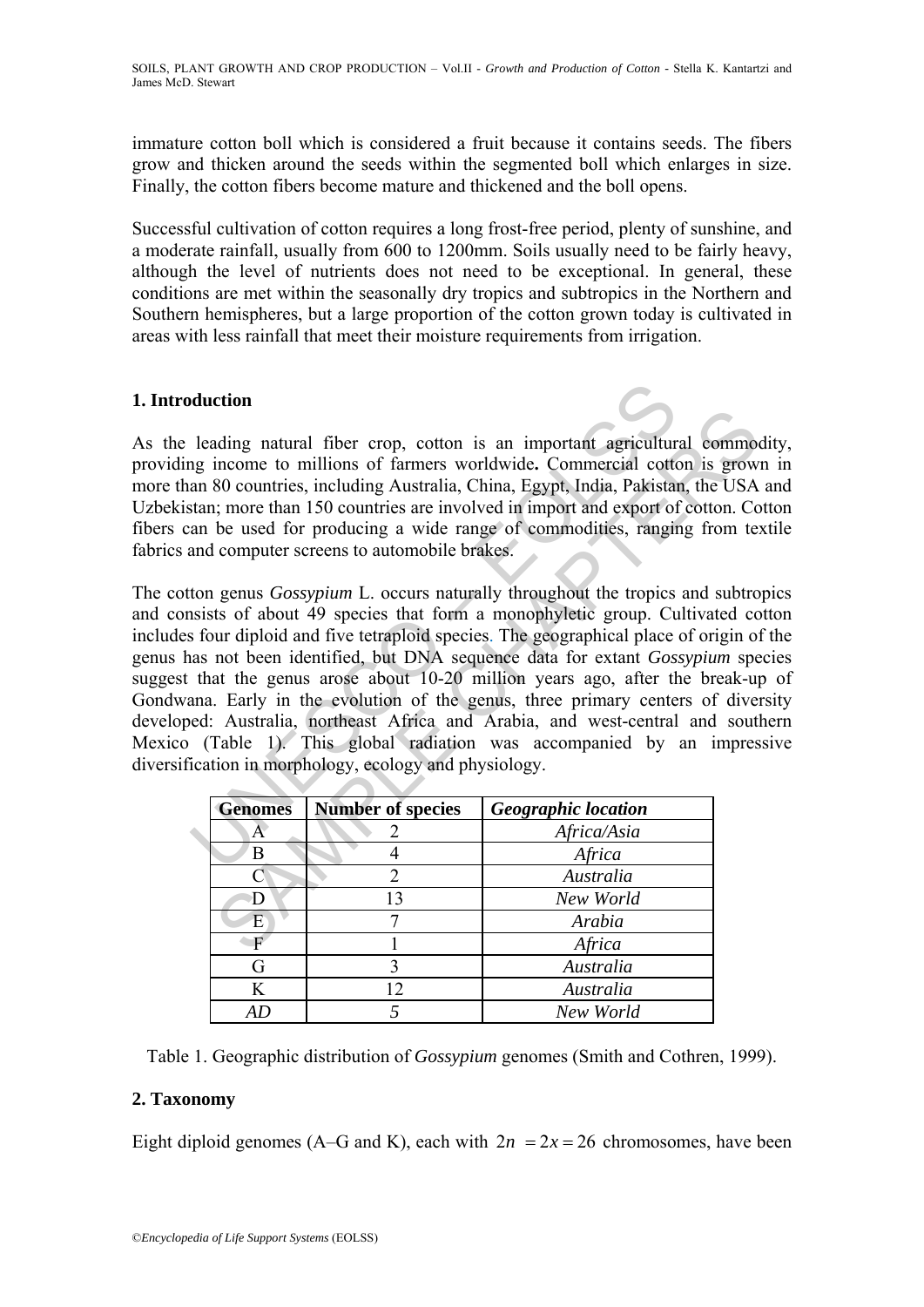immature cotton boll which is considered a fruit because it contains seeds. The fibers grow and thicken around the seeds within the segmented boll which enlarges in size. Finally, the cotton fibers become mature and thickened and the boll opens.

Successful cultivation of cotton requires a long frost-free period, plenty of sunshine, and a moderate rainfall, usually from 600 to 1200mm. Soils usually need to be fairly heavy, although the level of nutrients does not need to be exceptional. In general, these conditions are met within the seasonally dry tropics and subtropics in the Northern and Southern hemispheres, but a large proportion of the cotton grown today is cultivated in areas with less rainfall that meet their moisture requirements from irrigation.

## **1. Introduction**

As the leading natural fiber crop, cotton is an important agricultural commodity, providing income to millions of farmers worldwide**.** Commercial cotton is grown in more than 80 countries, including Australia, China, Egypt, India, Pakistan, the USA and Uzbekistan; more than 150 countries are involved in import and export of cotton. Cotton fibers can be used for producing a wide range of commodities, ranging from textile fabrics and computer screens to automobile brakes.

**duction**<br>
leading natural fiber crop, cotton is an important agricultur<br>
leading natural fiber crop, cotton is an important agricultur<br>
an 80 countries, including Australia, China, Egypt, India, Pakistan;<br>
more than 150 Example the multilons of farmers worldwide. Commercial control in<br>time the millions of farmers worldwide. Commercial cotton is grow<br>so countries, including Australia, China, Egypt, India, Pakistan, the USA<br>r, more than 15 The cotton genus *Gossypium* L. occurs naturally throughout the tropics and subtropics and consists of about 49 species that form a monophyletic group. Cultivated cotton includes four diploid and five tetraploid species. The geographical place of origin of the genus has not been identified, but DNA sequence data for extant *Gossypium* species suggest that the genus arose about 10-20 million years ago, after the break-up of Gondwana. Early in the evolution of the genus, three primary centers of diversity developed: Australia, northeast Africa and Arabia, and west-central and southern Mexico (Table 1). This global radiation was accompanied by an impressive diversification in morphology, ecology and physiology.

| <b>Genomes</b> | <b>Number of species</b> | <b>Geographic location</b> |
|----------------|--------------------------|----------------------------|
| Α              |                          | Africa/Asia                |
| В              |                          | Africa                     |
|                | 2                        | Australia                  |
|                | 13                       | New World                  |
| E              |                          | Arabia                     |
|                |                          | Africa                     |
| G              |                          | Australia                  |
| K              | 12                       | Australia                  |
|                |                          | New World                  |

Table 1. Geographic distribution of *Gossypium* genomes (Smith and Cothren, 1999).

## **2. Taxonomy**

Eight diploid genomes (A–G and K), each with  $2n = 2x = 26$  chromosomes, have been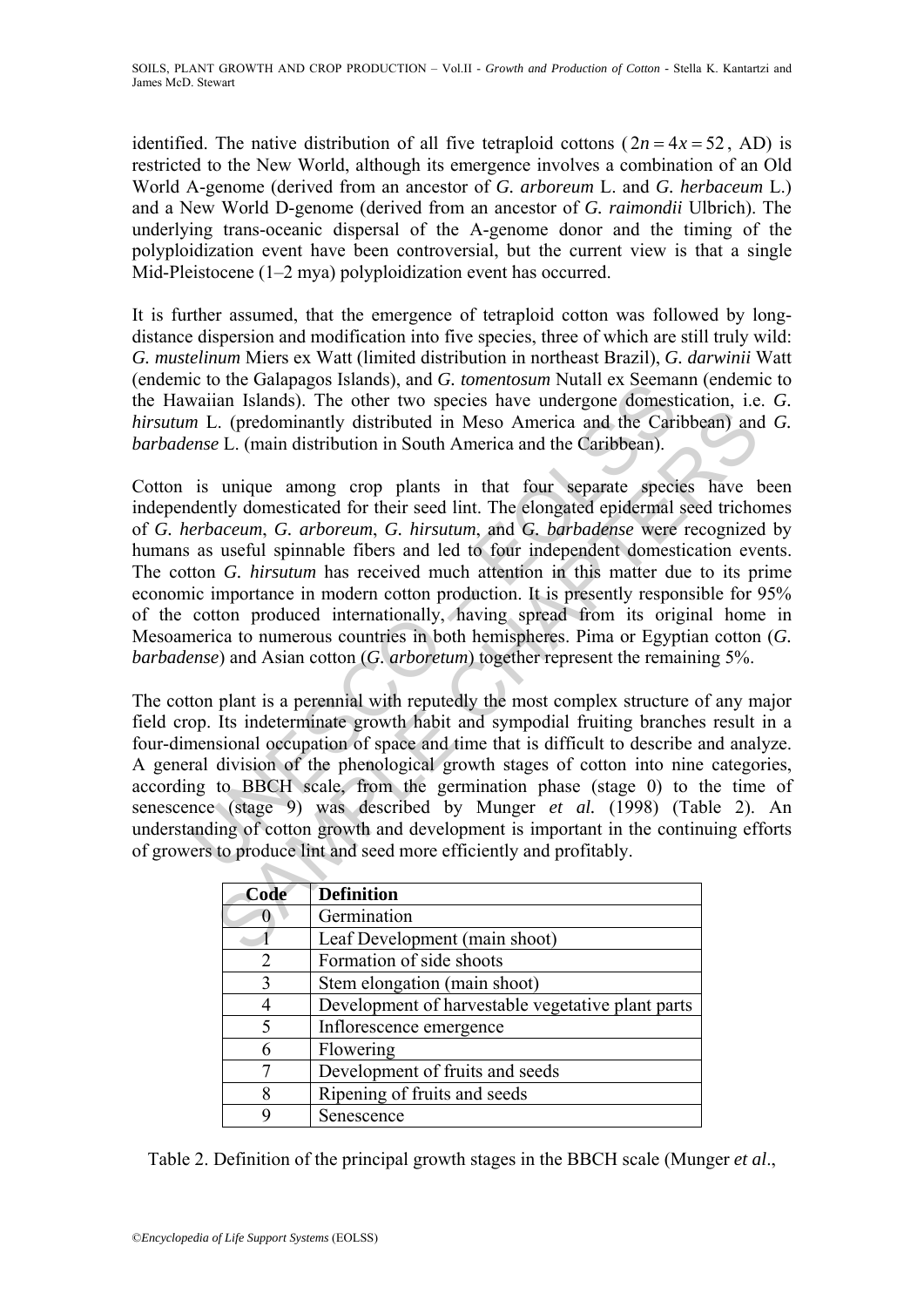identified. The native distribution of all five tetraploid cottons  $(2n = 4x = 52$ , AD) is restricted to the New World, although its emergence involves a combination of an Old World A-genome (derived from an ancestor of *G. arboreum* L. and *G. herbaceum* L.) and a New World D-genome (derived from an ancestor of *G. raimondii* Ulbrich). The underlying trans-oceanic dispersal of the A-genome donor and the timing of the polyploidization event have been controversial, but the current view is that a single Mid-Pleistocene (1–2 mya) polyploidization event has occurred.

It is further assumed, that the emergence of tetraploid cotton was followed by longdistance dispersion and modification into five species, three of which are still truly wild: *G. mustelinum* Miers ex Watt (limited distribution in northeast Brazil), *G. darwinii* Watt (endemic to the Galapagos Islands), and *G. tomentosum* Nutall ex Seemann (endemic to the Hawaiian Islands). The other two species have undergone domestication, i.e. *G. hirsutum* L. (predominantly distributed in Meso America and the Caribbean) and *G. barbadense* L. (main distribution in South America and the Caribbean).

Et of the Grangaps sistants), and of *Unmentional* Nutual ex Section<br>in Islands). The other two species have undergone domest<br>*n* L. (predominantly distributed in Meso America and the Cari<br>*nse L.* (main distribution in S Let consider the contribution in South America and the Caribbean) and Let  $\alpha$ . (predominantly distributed in Meso America and the Caribbean) and E. (main distribution in South America and the Caribbean).<br>
unique among cr Cotton is unique among crop plants in that four separate species have been independently domesticated for their seed lint. The elongated epidermal seed trichomes of *G. herbaceum*, *G. arboreum*, *G. hirsutum*, and *G. barbadense* were recognized by humans as useful spinnable fibers and led to four independent domestication events. The cotton *G. hirsutum* has received much attention in this matter due to its prime economic importance in modern cotton production. It is presently responsible for 95% of the cotton produced internationally, having spread from its original home in Mesoamerica to numerous countries in both hemispheres. Pima or Egyptian cotton (*G. barbadense*) and Asian cotton (*G. arboretum*) together represent the remaining 5%.

The cotton plant is a perennial with reputedly the most complex structure of any major field crop. Its indeterminate growth habit and sympodial fruiting branches result in a four-dimensional occupation of space and time that is difficult to describe and analyze. A general division of the phenological growth stages of cotton into nine categories, according to BBCH scale, from the germination phase (stage 0) to the time of senescence (stage 9) was described by Munger *et al.* (1998) (Table 2). An understanding of cotton growth and development is important in the continuing efforts of growers to produce lint and seed more efficiently and profitably.

| Code | <b>Definition</b>                                 |  |
|------|---------------------------------------------------|--|
|      | Germination                                       |  |
|      | Leaf Development (main shoot)                     |  |
| 2    | Formation of side shoots                          |  |
| 3    | Stem elongation (main shoot)                      |  |
|      | Development of harvestable vegetative plant parts |  |
|      | Inflorescence emergence                           |  |
| 6    | Flowering                                         |  |
|      | Development of fruits and seeds                   |  |
|      | Ripening of fruits and seeds                      |  |
|      | Senescence                                        |  |

Table 2. Definition of the principal growth stages in the BBCH scale (Munger *et al*.,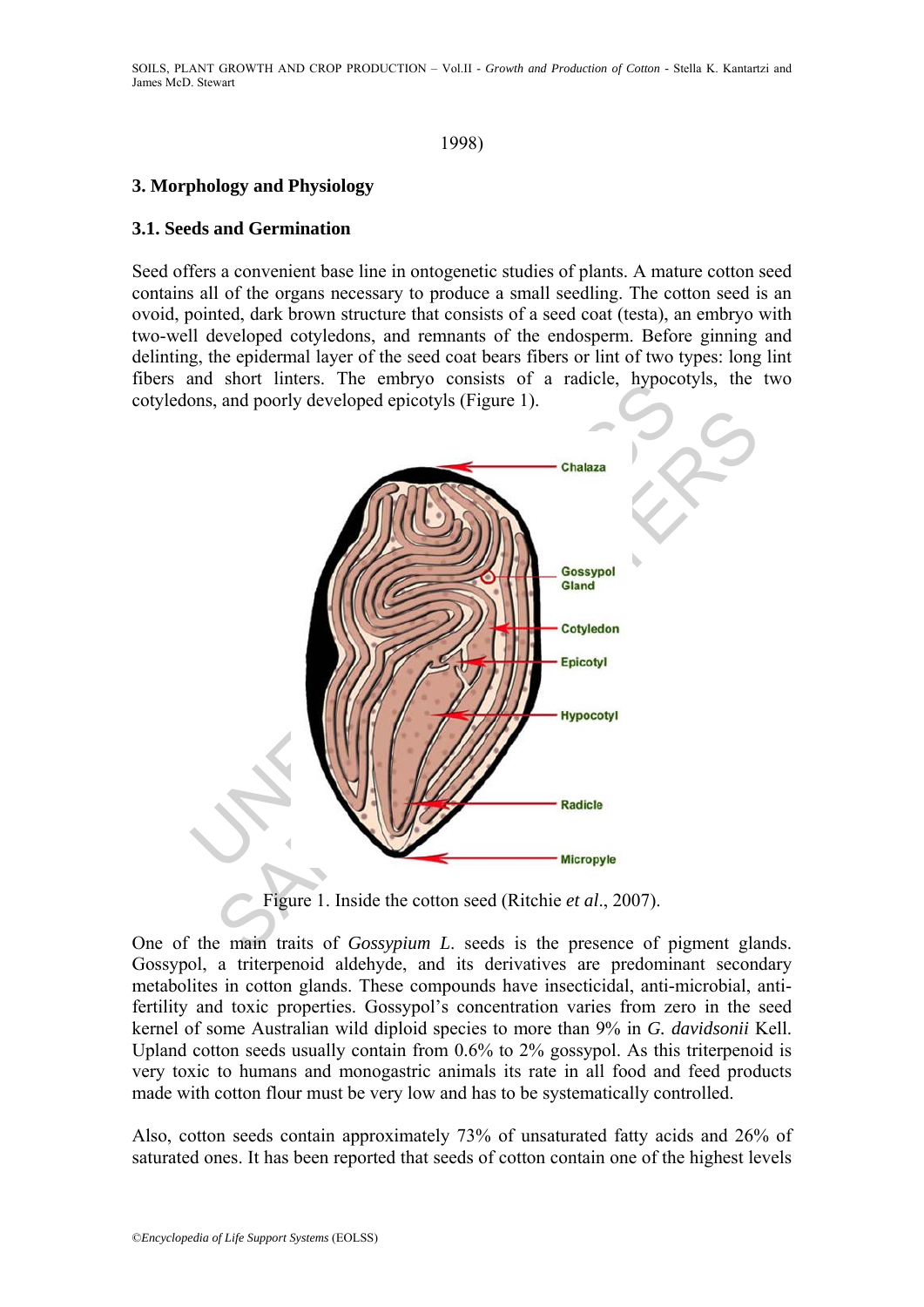### 1998)

## **3. Morphology and Physiology**

### **3.1. Seeds and Germination**

Seed offers a convenient base line in ontogenetic studies of plants. A mature cotton seed contains all of the organs necessary to produce a small seedling. The cotton seed is an ovoid, pointed, dark brown structure that consists of a seed coat (testa), an embryo with two-well developed cotyledons, and remnants of the endosperm. Before ginning and delinting, the epidermal layer of the seed coat bears fibers or lint of two types: long lint fibers and short linters. The embryo consists of a radicle, hypocotyls, the two cotyledons, and poorly developed epicotyls (Figure 1).



Figure 1. Inside the cotton seed (Ritchie *et al*., 2007).

One of the main traits of *Gossypium L*. seeds is the presence of pigment glands. Gossypol, a triterpenoid aldehyde, and its derivatives are predominant secondary metabolites in cotton glands. These compounds have insecticidal, anti-microbial, antifertility and toxic properties. Gossypol's concentration varies from zero in the seed kernel of some Australian wild diploid species to more than 9% in *G. davidsonii* Kell. Upland cotton seeds usually contain from 0.6% to 2% gossypol. As this triterpenoid is very toxic to humans and monogastric animals its rate in all food and feed products made with cotton flour must be very low and has to be systematically controlled.

Also, cotton seeds contain approximately 73% of unsaturated fatty acids and 26% of saturated ones. It has been reported that seeds of cotton contain one of the highest levels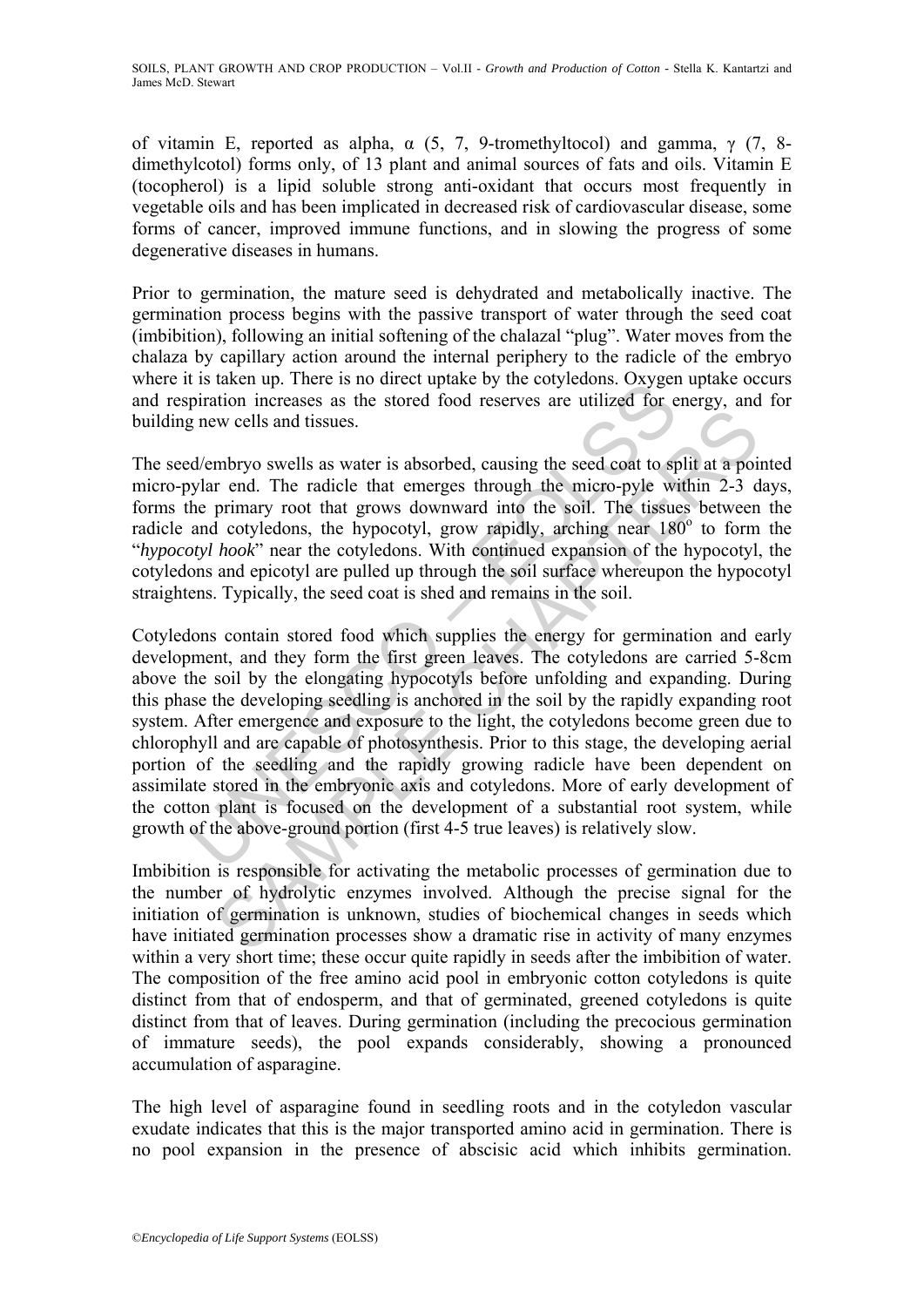of vitamin E, reported as alpha,  $\alpha$  (5, 7, 9-tromethyltocol) and gamma,  $\gamma$  (7, 8dimethylcotol) forms only, of 13 plant and animal sources of fats and oils. Vitamin E (tocopherol) is a lipid soluble strong anti-oxidant that occurs most frequently in vegetable oils and has been implicated in decreased risk of cardiovascular disease, some forms of cancer, improved immune functions, and in slowing the progress of some degenerative diseases in humans.

Prior to germination, the mature seed is dehydrated and metabolically inactive. The germination process begins with the passive transport of water through the seed coat (imbibition), following an initial softening of the chalazal "plug". Water moves from the chalaza by capillary action around the internal periphery to the radicle of the embryo where it is taken up. There is no direct uptake by the cotyledons. Oxygen uptake occurs and respiration increases as the stored food reserves are utilized for energy, and for building new cells and tissues.

The seed/embryo swells as water is absorbed, causing the seed coat to split at a pointed micro-pylar end. The radicle that emerges through the micro-pyle within 2-3 days, forms the primary root that grows downward into the soil. The tissues between the radicle and cotyledons, the hypocotyl, grow rapidly, arching near 180° to form the "*hypocotyl hook*" near the cotyledons. With continued expansion of the hypocotyl, the cotyledons and epicotyl are pulled up through the soil surface whereupon the hypocotyl straightens. Typically, the seed coat is shed and remains in the soil.

It is taken up. There is no unect update by the cotyledons. Oxyger<br>piration increases as the stored food reserves are utilized for e<br>grave cells and tissues.<br> $d$ /embryo swells as water is absorbed, causing the seed coat t EVALUATION IN the state of the state of the state of the state of the state of the sented of the sented of the state of the princip r end. The radicle that emerges through the micro-pyle within 2-3 d primary root that gro Cotyledons contain stored food which supplies the energy for germination and early development, and they form the first green leaves. The cotyledons are carried 5-8cm above the soil by the elongating hypocotyls before unfolding and expanding. During this phase the developing seedling is anchored in the soil by the rapidly expanding root system. After emergence and exposure to the light, the cotyledons become green due to chlorophyll and are capable of photosynthesis. Prior to this stage, the developing aerial portion of the seedling and the rapidly growing radicle have been dependent on assimilate stored in the embryonic axis and cotyledons. More of early development of the cotton plant is focused on the development of a substantial root system, while growth of the above-ground portion (first 4-5 true leaves) is relatively slow.

Imbibition is responsible for activating the metabolic processes of germination due to the number of hydrolytic enzymes involved. Although the precise signal for the initiation of germination is unknown, studies of biochemical changes in seeds which have initiated germination processes show a dramatic rise in activity of many enzymes within a very short time; these occur quite rapidly in seeds after the imbibition of water. The composition of the free amino acid pool in embryonic cotton cotyledons is quite distinct from that of endosperm, and that of germinated, greened cotyledons is quite distinct from that of leaves. During germination (including the precocious germination of immature seeds), the pool expands considerably, showing a pronounced accumulation of asparagine.

The high level of asparagine found in seedling roots and in the cotyledon vascular exudate indicates that this is the major transported amino acid in germination. There is no pool expansion in the presence of abscisic acid which inhibits germination.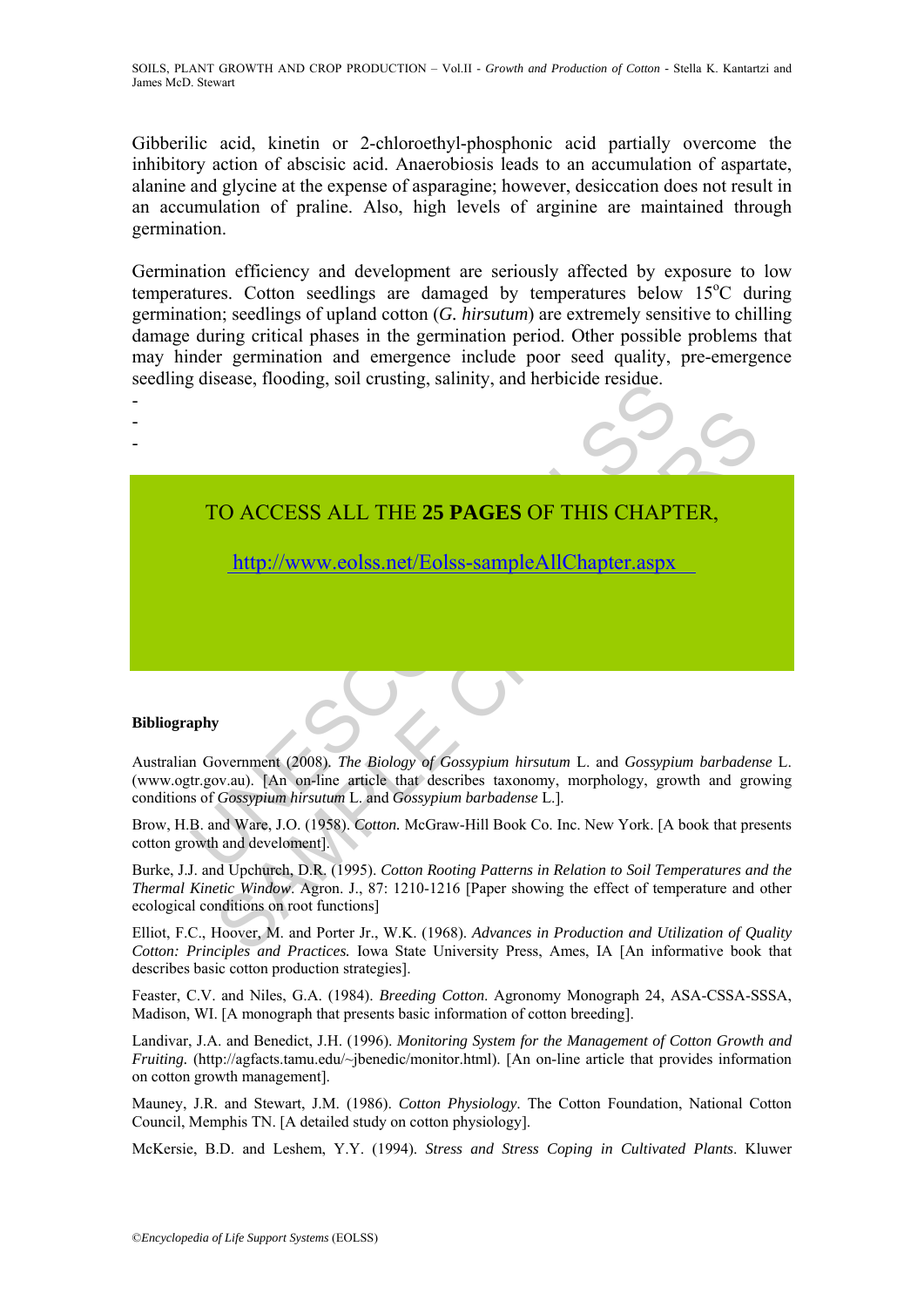Gibberilic acid, kinetin or 2-chloroethyl-phosphonic acid partially overcome the inhibitory action of abscisic acid. Anaerobiosis leads to an accumulation of aspartate, alanine and glycine at the expense of asparagine; however, desiccation does not result in an accumulation of praline. Also, high levels of arginine are maintained through germination.

Germination efficiency and development are seriously affected by exposure to low temperatures. Cotton seedlings are damaged by temperatures below 15°C during germination; seedlings of upland cotton (*G. hirsutum*) are extremely sensitive to chilling damage during critical phases in the germination period. Other possible problems that may hinder germination and emergence include poor seed quality, pre-emergence seedling disease, flooding, soil crusting, salinity, and herbicide residue.



http://www.eolss.net/Eolss-sampleAllChapter.aspx

### **Bibliography**

- - -

TO ACCESS ALL THE 25 PAGES OF THIS CHAPT<br>
ITO ACCESS ALL THE 25 PAGES OF THIS CHAPT<br>
http://www.eolss.net/Eolss-sampleAllChapter.aspx<br>
apply<br>
In Government (2008). The Biology of Gossypium hirsutum L. and Gossypic<br>
It.gov. CO ACCESS ALL THE 25 PAGES OF THIS CH[APTE](https://www.eolss.net/ebooklib/sc_cart.aspx?File=E1-05A-20-00)R,<br>
http://www.eolss.net/Eolss-sampleAllChapter.aspx<br>
weak). [An on-fine article that describes taxonomy, morphology, growth and growth<br>
Consyptum hirsutum 1. and Gossypium barbade Australian Government (2008). *The Biology of Gossypium hirsutum* L. and *Gossypium barbadense* L. (www.ogtr.gov.au). [An on-line article that describes taxonomy, morphology, growth and growing conditions of *Gossypium hirsutum* L. and *Gossypium barbadense* L.].

Brow, H.B. and Ware, J.O. (1958). *Cotton.* McGraw-Hill Book Co. Inc. New York. [A book that presents cotton growth and develoment].

Burke, J.J. and Upchurch, D.R. (1995). *Cotton Rooting Patterns in Relation to Soil Temperatures and the Thermal Kinetic Window*. Agron. J., 87: 1210-1216 [Paper showing the effect of temperature and other ecological conditions on root functions]

Elliot, F.C., Hoover, M. and Porter Jr., W.K. (1968). *Advances in Production and Utilization of Quality Cotton: Principles and Practices.* Iowa State University Press, Ames, IA [An informative book that describes basic cotton production strategies].

Feaster, C.V. and Niles, G.A. (1984). *Breeding Cotton*. Agronomy Monograph 24, ASA-CSSA-SSSA, Madison, WI. [A monograph that presents basic information of cotton breeding].

Landivar, J.A. and Benedict, J.H. (1996). *Monitoring System for the Management of Cotton Growth and Fruiting.* (http://agfacts.tamu.edu/~jbenedic/monitor.html). [An on-line article that provides information on cotton growth management].

Mauney, J.R. and Stewart, J.M. (1986). *Cotton Physiology*. The Cotton Foundation, National Cotton Council, Memphis TN. [A detailed study on cotton physiology].

McKersie, B.D. and Leshem, Y.Y. (1994). *Stress and Stress Coping in Cultivated Plants*. Kluwer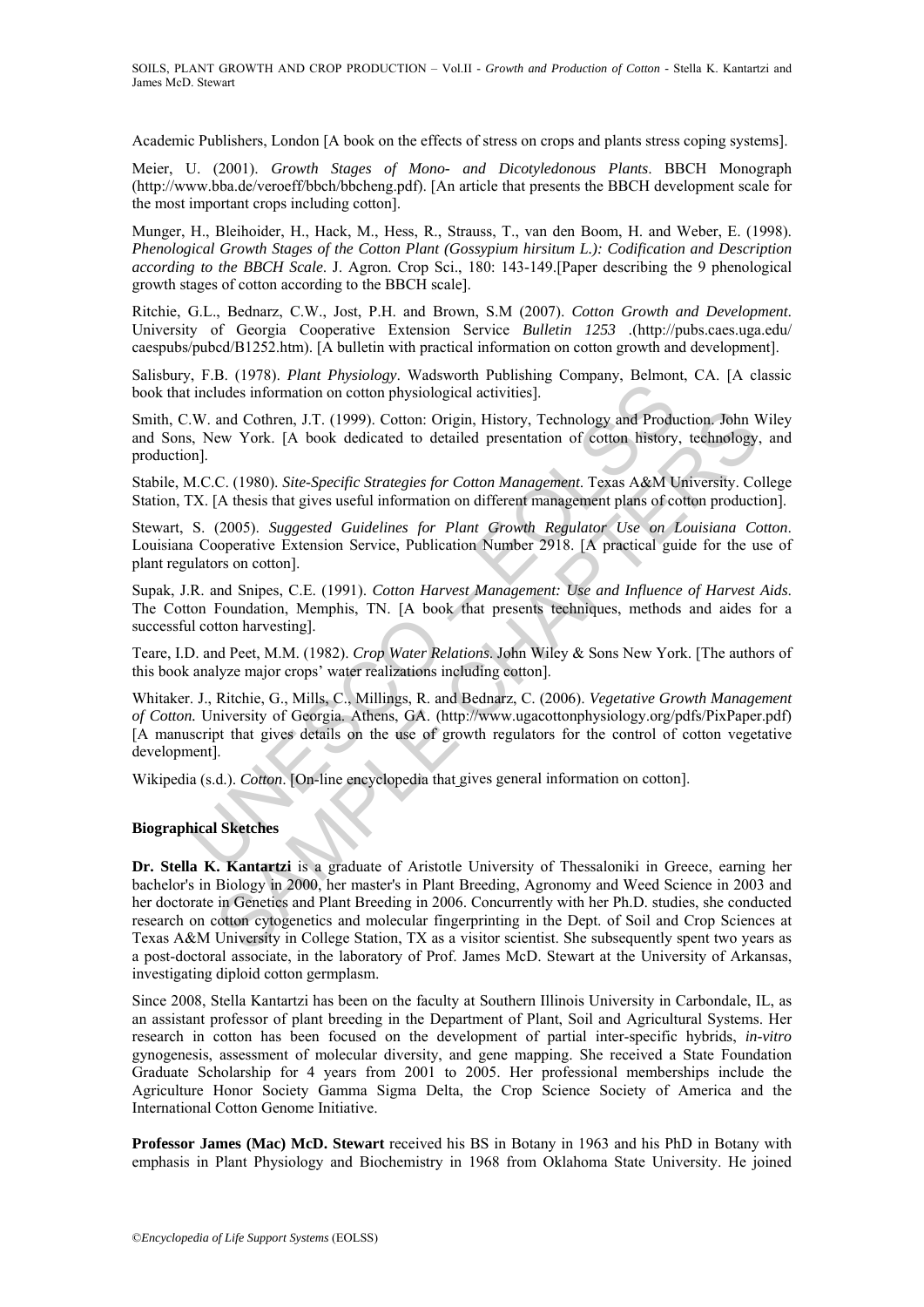Academic Publishers, London [A book on the effects of stress on crops and plants stress coping systems].

Meier, U. (2001). *Growth Stages of Mono- and Dicotyledonous Plants*. BBCH Monograph (http://www.bba.de/veroeff/bbch/bbcheng.pdf). [An article that presents the BBCH development scale for the most important crops including cotton].

Munger, H., Bleihoider, H., Hack, M., Hess, R., Strauss, T., van den Boom, H. and Weber, E. (1998). *Phenological Growth Stages of the Cotton Plant (Gossypium hirsitum L.): Codification and Description according to the BBCH Scale*. J. Agron. Crop Sci., 180: 143-149.[Paper describing the 9 phenological growth stages of cotton according to the BBCH scale].

Ritchie, G.L., Bednarz, C.W., Jost, P.H. and Brown, S.M (2007). *Cotton Growth and Development*. University of Georgia Cooperative Extension Service *Bulletin 1253 .*(http://pubs.caes.uga.edu/ caespubs/pubcd/B1252.htm). [A bulletin with practical information on cotton growth and development].

Salisbury, F.B. (1978). *Plant Physiology*. Wadsworth Publishing Company, Belmont, CA. [A classic book that includes information on cotton physiological activities].

Smith, C.W. and Cothren, J.T. (1999). Cotton: Origin, History, Technology and Production. John Wiley and Sons, New York. [A book dedicated to detailed presentation of cotton history, technology, and production].

Stabile, M.C.C. (1980). *Site-Specific Strategies for Cotton Management*. Texas A&M University. College Station, TX. [A thesis that gives useful information on different management plans of cotton production].

Stewart, S. (2005). *Suggested Guidelines for Plant Growth Regulator Use on Louisiana Cotton*. Louisiana Cooperative Extension Service, Publication Number 2918. [A practical guide for the use of plant regulators on cotton].

Supak, J.R. and Snipes, C.E. (1991). *Cotton Harvest Management: Use and Influence of Harvest Aids*. The Cotton Foundation, Memphis, TN. [A book that presents techniques, methods and aides for a successful cotton harvesting].

Teare, I.D. and Peet, M.M. (1982). *Crop Water Relations*. John Wiley & Sons New York. [The authors of this book analyze major crops' water realizations including cotton].

is the includes information on cotton physiological activities].<br>
W. and Cothren, J.T. (1999). Cotton: Origin, History, Technology and Production.<br>
N. S. New York. [A book dedicated to detailed presentation of cotton histo Whitaker. J., Ritchie, G., Mills, C., Millings, R. and Bednarz, C. (2006). *Vegetative Growth Management of Cotton.* University of Georgia. Athens, GA. (http://www.ugacottonphysiology.org/pdfs/PixPaper.pdf) [A manuscript that gives details on the use of growth regulators for the control of cotton vegetative development].

Wikipedia (s.d.). *Cotton*. [On-line encyclopedia that gives general information on cotton].

### **Biographical Sketches**

and Cothren, J.T. (1999). Cotton: Origin, History, Technology and Production. John V<br>ave York. [A book dedicated to detailed presentation of cotton history, technology,<br>C. (1980). *Site-Specific Strategies for Cotton Manag* **Dr. Stella K. Kantartzi** is a graduate of Aristotle University of Thessaloniki in Greece, earning her bachelor's in Biology in 2000, her master's in Plant Breeding, Agronomy and Weed Science in 2003 and her doctorate in Genetics and Plant Breeding in 2006. Concurrently with her Ph.D. studies, she conducted research on cotton cytogenetics and molecular fingerprinting in the Dept. of Soil and Crop Sciences at Texas A&M University in College Station, TX as a visitor scientist. She subsequently spent two years as a post-doctoral associate, in the laboratory of Prof. James McD. Stewart at the University of Arkansas, investigating diploid cotton germplasm.

Since 2008, Stella Kantartzi has been on the faculty at Southern Illinois University in Carbondale, IL, as an assistant professor of plant breeding in the Department of Plant, Soil and Agricultural Systems. Her research in cotton has been focused on the development of partial inter-specific hybrids, *in-vitro* gynogenesis, assessment of molecular diversity, and gene mapping. She received a State Foundation Graduate Scholarship for 4 years from 2001 to 2005. Her professional memberships include the Agriculture Honor Society Gamma Sigma Delta, the Crop Science Society of America and the International Cotton Genome Initiative.

**Professor James (Mac) McD. Stewart** received his BS in Botany in 1963 and his PhD in Botany with emphasis in Plant Physiology and Biochemistry in 1968 from Oklahoma State University. He joined